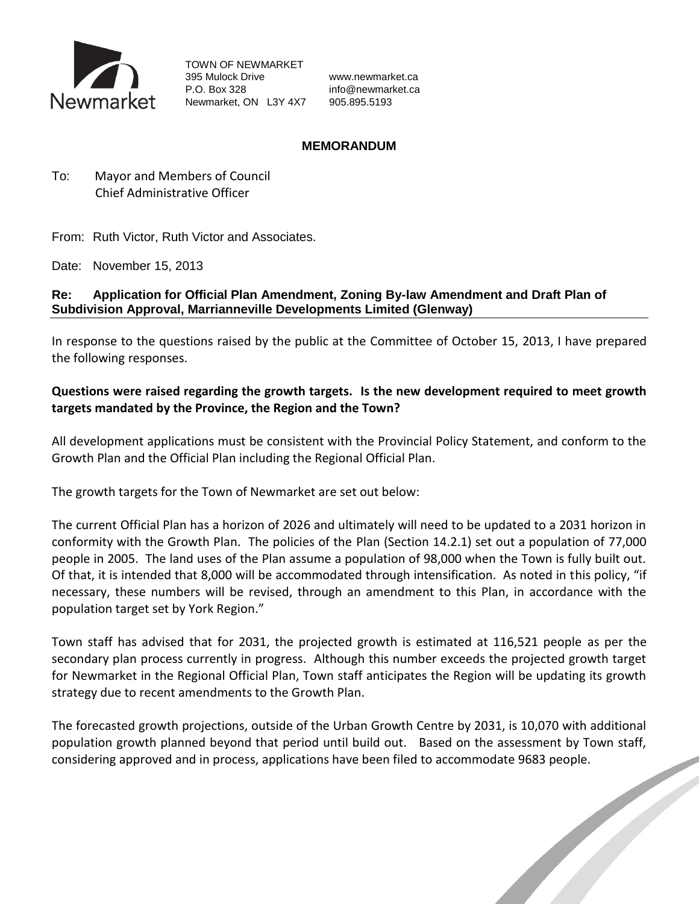

TOWN OF NEWMARKET 395 Mulock Drive www.newmarket.ca P.O. Box 328 info@newmarket.ca Newmarket, ON L3Y 4X7 905.895.5193

#### **MEMORANDUM**

To: Mayor and Members of Council Chief Administrative Officer

From: Ruth Victor, Ruth Victor and Associates.

Date: November 15, 2013

#### **Re: Application for Official Plan Amendment, Zoning By-law Amendment and Draft Plan of Subdivision Approval, Marrianneville Developments Limited (Glenway)**

In response to the questions raised by the public at the Committee of October 15, 2013, I have prepared the following responses.

# **Questions were raised regarding the growth targets. Is the new development required to meet growth targets mandated by the Province, the Region and the Town?**

All development applications must be consistent with the Provincial Policy Statement, and conform to the Growth Plan and the Official Plan including the Regional Official Plan.

The growth targets for the Town of Newmarket are set out below:

The current Official Plan has a horizon of 2026 and ultimately will need to be updated to a 2031 horizon in conformity with the Growth Plan. The policies of the Plan (Section 14.2.1) set out a population of 77,000 people in 2005. The land uses of the Plan assume a population of 98,000 when the Town is fully built out. Of that, it is intended that 8,000 will be accommodated through intensification. As noted in this policy, "if necessary, these numbers will be revised, through an amendment to this Plan, in accordance with the population target set by York Region."

Town staff has advised that for 2031, the projected growth is estimated at 116,521 people as per the secondary plan process currently in progress. Although this number exceeds the projected growth target for Newmarket in the Regional Official Plan, Town staff anticipates the Region will be updating its growth strategy due to recent amendments to the Growth Plan.

The forecasted growth projections, outside of the Urban Growth Centre by 2031, is 10,070 with additional population growth planned beyond that period until build out. Based on the assessment by Town staff, considering approved and in process, applications have been filed to accommodate 9683 people.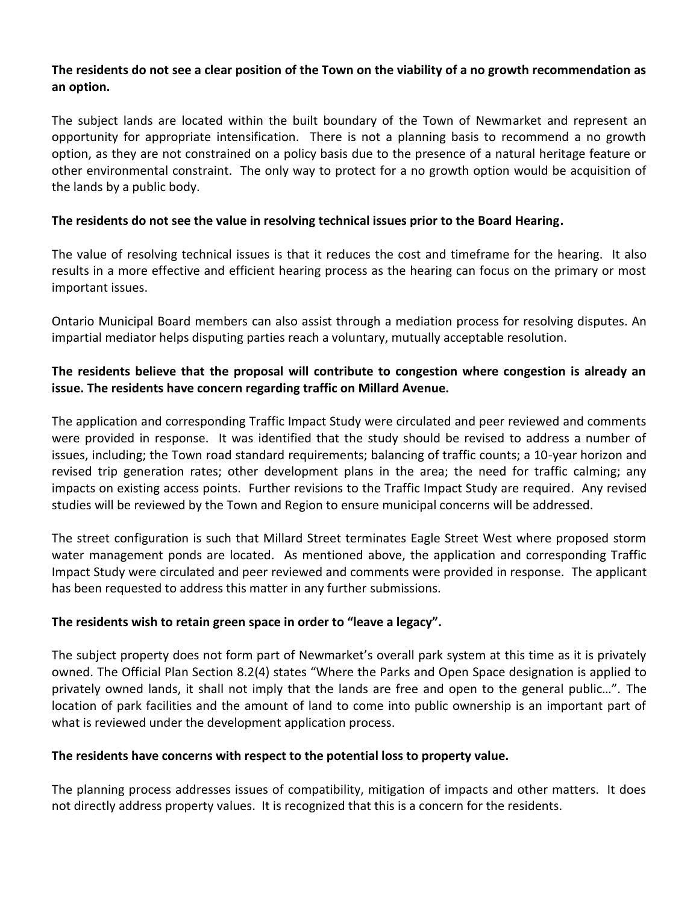## **The residents do not see a clear position of the Town on the viability of a no growth recommendation as an option.**

The subject lands are located within the built boundary of the Town of Newmarket and represent an opportunity for appropriate intensification. There is not a planning basis to recommend a no growth option, as they are not constrained on a policy basis due to the presence of a natural heritage feature or other environmental constraint. The only way to protect for a no growth option would be acquisition of the lands by a public body.

## **The residents do not see the value in resolving technical issues prior to the Board Hearing.**

The value of resolving technical issues is that it reduces the cost and timeframe for the hearing. It also results in a more effective and efficient hearing process as the hearing can focus on the primary or most important issues.

Ontario Municipal Board members can also assist through a mediation process for resolving disputes. An impartial mediator helps disputing parties reach a voluntary, mutually acceptable resolution.

## **The residents believe that the proposal will contribute to congestion where congestion is already an issue. The residents have concern regarding traffic on Millard Avenue.**

The application and corresponding Traffic Impact Study were circulated and peer reviewed and comments were provided in response. It was identified that the study should be revised to address a number of issues, including; the Town road standard requirements; balancing of traffic counts; a 10-year horizon and revised trip generation rates; other development plans in the area; the need for traffic calming; any impacts on existing access points. Further revisions to the Traffic Impact Study are required. Any revised studies will be reviewed by the Town and Region to ensure municipal concerns will be addressed.

The street configuration is such that Millard Street terminates Eagle Street West where proposed storm water management ponds are located. As mentioned above, the application and corresponding Traffic Impact Study were circulated and peer reviewed and comments were provided in response. The applicant has been requested to address this matter in any further submissions.

# **The residents wish to retain green space in order to "leave a legacy".**

The subject property does not form part of Newmarket's overall park system at this time as it is privately owned. The Official Plan Section 8.2(4) states "Where the Parks and Open Space designation is applied to privately owned lands, it shall not imply that the lands are free and open to the general public…". The location of park facilities and the amount of land to come into public ownership is an important part of what is reviewed under the development application process.

#### **The residents have concerns with respect to the potential loss to property value.**

The planning process addresses issues of compatibility, mitigation of impacts and other matters. It does not directly address property values. It is recognized that this is a concern for the residents.